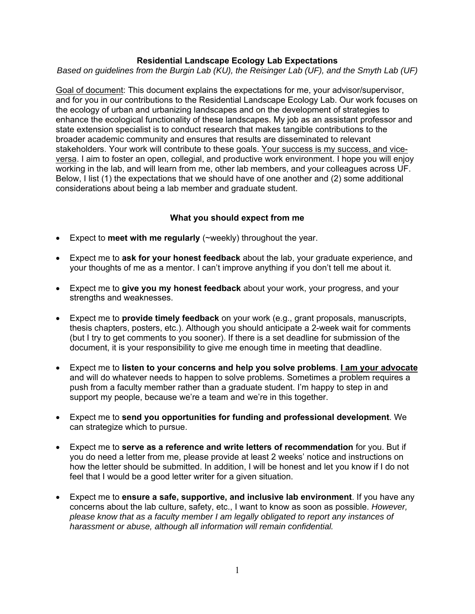## **Residential Landscape Ecology Lab Expectations**

*Based on guidelines from the Burgin Lab (KU), the Reisinger Lab (UF), and the Smyth Lab (UF)* 

Goal of document: This document explains the expectations for me, your advisor/supervisor, and for you in our contributions to the Residential Landscape Ecology Lab. Our work focuses on the ecology of urban and urbanizing landscapes and on the development of strategies to enhance the ecological functionality of these landscapes. My job as an assistant professor and state extension specialist is to conduct research that makes tangible contributions to the broader academic community and ensures that results are disseminated to relevant stakeholders. Your work will contribute to these goals. Your success is my success, and viceversa. I aim to foster an open, collegial, and productive work environment. I hope you will enjoy working in the lab, and will learn from me, other lab members, and your colleagues across UF. Below, I list (1) the expectations that we should have of one another and (2) some additional considerations about being a lab member and graduate student.

### **What you should expect from me**

- Expect to **meet with me regularly** (~weekly) throughout the year.
- Expect me to **ask for your honest feedback** about the lab, your graduate experience, and your thoughts of me as a mentor. I can't improve anything if you don't tell me about it.
- Expect me to **give you my honest feedback** about your work, your progress, and your strengths and weaknesses.
- Expect me to **provide timely feedback** on your work (e.g., grant proposals, manuscripts, thesis chapters, posters, etc.). Although you should anticipate a 2-week wait for comments (but I try to get comments to you sooner). If there is a set deadline for submission of the document, it is your responsibility to give me enough time in meeting that deadline.
- Expect me to **listen to your concerns and help you solve problems**. **I am your advocate** and will do whatever needs to happen to solve problems. Sometimes a problem requires a push from a faculty member rather than a graduate student. I'm happy to step in and support my people, because we're a team and we're in this together.
- Expect me to **send you opportunities for funding and professional development**. We can strategize which to pursue.
- Expect me to **serve as a reference and write letters of recommendation** for you. But if you do need a letter from me, please provide at least 2 weeks' notice and instructions on how the letter should be submitted. In addition, I will be honest and let you know if I do not feel that I would be a good letter writer for a given situation.
- Expect me to **ensure a safe, supportive, and inclusive lab environment**. If you have any concerns about the lab culture, safety, etc., I want to know as soon as possible. *However, please know that as a faculty member I am legally obligated to report any instances of harassment or abuse, although all information will remain confidential.*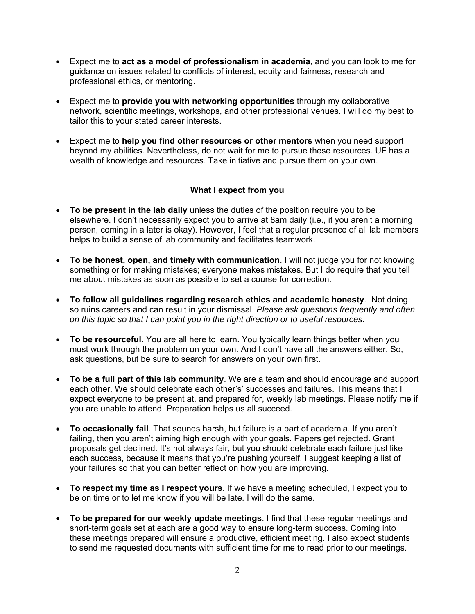- Expect me to **act as a model of professionalism in academia**, and you can look to me for guidance on issues related to conflicts of interest, equity and fairness, research and professional ethics, or mentoring.
- Expect me to **provide you with networking opportunities** through my collaborative network, scientific meetings, workshops, and other professional venues. I will do my best to tailor this to your stated career interests.
- Expect me to **help you find other resources or other mentors** when you need support beyond my abilities. Nevertheless, do not wait for me to pursue these resources. UF has a wealth of knowledge and resources. Take initiative and pursue them on your own.

## **What I expect from you**

- **To be present in the lab daily** unless the duties of the position require you to be elsewhere. I don't necessarily expect you to arrive at 8am daily (i.e., if you aren't a morning person, coming in a later is okay). However, I feel that a regular presence of all lab members helps to build a sense of lab community and facilitates teamwork.
- **To be honest, open, and timely with communication**. I will not judge you for not knowing something or for making mistakes; everyone makes mistakes. But I do require that you tell me about mistakes as soon as possible to set a course for correction.
- **To follow all guidelines regarding research ethics and academic honesty**. Not doing so ruins careers and can result in your dismissal. *Please ask questions frequently and often on this topic so that I can point you in the right direction or to useful resources.*
- **To be resourceful**. You are all here to learn. You typically learn things better when you must work through the problem on your own. And I don't have all the answers either. So, ask questions, but be sure to search for answers on your own first.
- **To be a full part of this lab community**. We are a team and should encourage and support each other. We should celebrate each other's' successes and failures. This means that I expect everyone to be present at, and prepared for, weekly lab meetings. Please notify me if you are unable to attend. Preparation helps us all succeed.
- **To occasionally fail**. That sounds harsh, but failure is a part of academia. If you aren't failing, then you aren't aiming high enough with your goals. Papers get rejected. Grant proposals get declined. It's not always fair, but you should celebrate each failure just like each success, because it means that you're pushing yourself. I suggest keeping a list of your failures so that you can better reflect on how you are improving.
- **To respect my time as I respect yours**. If we have a meeting scheduled, I expect you to be on time or to let me know if you will be late. I will do the same.
- **To be prepared for our weekly update meetings**. I find that these regular meetings and short-term goals set at each are a good way to ensure long-term success. Coming into these meetings prepared will ensure a productive, efficient meeting. I also expect students to send me requested documents with sufficient time for me to read prior to our meetings.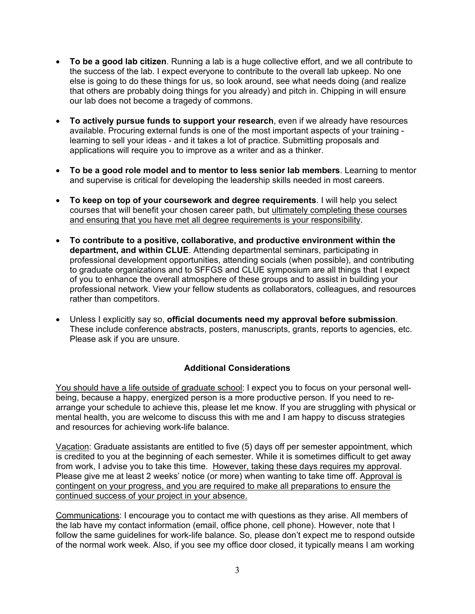- **To be a good lab citizen**. Running a lab is a huge collective effort, and we all contribute to the success of the lab. I expect everyone to contribute to the overall lab upkeep. No one else is going to do these things for us, so look around, see what needs doing (and realize that others are probably doing things for you already) and pitch in. Chipping in will ensure our lab does not become a tragedy of commons.
- **To actively pursue funds to support your research**, even if we already have resources available. Procuring external funds is one of the most important aspects of your training learning to sell your ideas - and it takes a lot of practice. Submitting proposals and applications will require you to improve as a writer and as a thinker.
- **To be a good role model and to mentor to less senior lab members**. Learning to mentor and supervise is critical for developing the leadership skills needed in most careers.
- **To keep on top of your coursework and degree requirements**. I will help you select courses that will benefit your chosen career path, but ultimately completing these courses and ensuring that you have met all degree requirements is your responsibility.
- **To contribute to a positive, collaborative, and productive environment within the department, and within CLUE**. Attending departmental seminars, participating in professional development opportunities, attending socials (when possible), and contributing to graduate organizations and to SFFGS and CLUE symposium are all things that I expect of you to enhance the overall atmosphere of these groups and to assist in building your professional network. View your fellow students as collaborators, colleagues, and resources rather than competitors.
- Unless I explicitly say so, **official documents need my approval before submission**. These include conference abstracts, posters, manuscripts, grants, reports to agencies, etc. Please ask if you are unsure.

# **Additional Considerations**

You should have a life outside of graduate school: I expect you to focus on your personal wellbeing, because a happy, energized person is a more productive person. If you need to rearrange your schedule to achieve this, please let me know. If you are struggling with physical or mental health, you are welcome to discuss this with me and I am happy to discuss strategies and resources for achieving work-life balance.

Vacation: Graduate assistants are entitled to five (5) days off per semester appointment, which is credited to you at the beginning of each semester. While it is sometimes difficult to get away from work, I advise you to take this time. However, taking these days requires my approval. Please give me at least 2 weeks' notice (or more) when wanting to take time off. Approval is contingent on your progress, and you are required to make all preparations to ensure the continued success of your project in your absence.

Communications: I encourage you to contact me with questions as they arise. All members of the lab have my contact information (email, office phone, cell phone). However, note that I follow the same guidelines for work-life balance. So, please don't expect me to respond outside of the normal work week. Also, if you see my office door closed, it typically means I am working